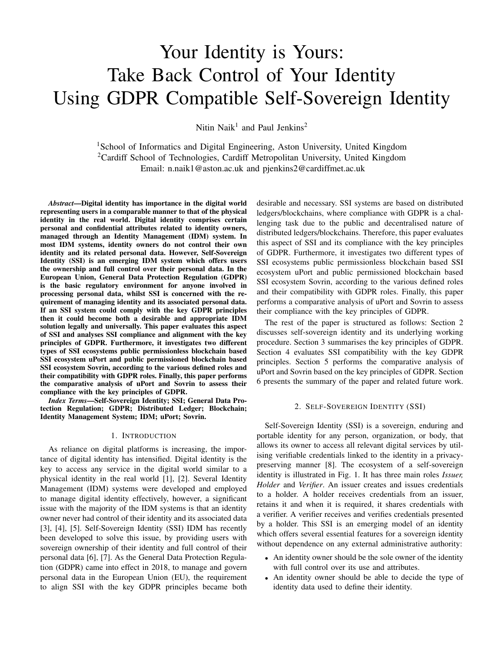# Your Identity is Yours: Take Back Control of Your Identity Using GDPR Compatible Self-Sovereign Identity

Nitin Naik<sup>1</sup> and Paul Jenkins<sup>2</sup>

<sup>1</sup>School of Informatics and Digital Engineering, Aston University, United Kingdom <sup>2</sup>Cardiff School of Technologies, Cardiff Metropolitan University, United Kingdom Email: n.naik1@aston.ac.uk and pjenkins2@cardiffmet.ac.uk

*Abstract*—Digital identity has importance in the digital world representing users in a comparable manner to that of the physical identity in the real world. Digital identity comprises certain personal and confidential attributes related to identity owners, managed through an Identity Management (IDM) system. In most IDM systems, identity owners do not control their own identity and its related personal data. However, Self-Sovereign Identity (SSI) is an emerging IDM system which offers users the ownership and full control over their personal data. In the European Union, General Data Protection Regulation (GDPR) is the basic regulatory environment for anyone involved in processing personal data, whilst SSI is concerned with the requirement of managing identity and its associated personal data. If an SSI system could comply with the key GDPR principles then it could become both a desirable and appropriate IDM solution legally and universally. This paper evaluates this aspect of SSI and analyses SSI compliance and alignment with the key principles of GDPR. Furthermore, it investigates two different types of SSI ecosystems public permissionless blockchain based SSI ecosystem uPort and public permissioned blockchain based SSI ecosystem Sovrin, according to the various defined roles and their compatibility with GDPR roles. Finally, this paper performs the comparative analysis of uPort and Sovrin to assess their compliance with the key principles of GDPR.

*Index Terms*—Self-Sovereign Identity; SSI; General Data Protection Regulation; GDPR; Distributed Ledger; Blockchain; Identity Management System; IDM; uPort; Sovrin.

#### 1. INTRODUCTION

As reliance on digital platforms is increasing, the importance of digital identity has intensified. Digital identity is the key to access any service in the digital world similar to a physical identity in the real world [1], [2]. Several Identity Management (IDM) systems were developed and employed to manage digital identity effectively, however, a significant issue with the majority of the IDM systems is that an identity owner never had control of their identity and its associated data [3], [4], [5]. Self-Sovereign Identity (SSI) IDM has recently been developed to solve this issue, by providing users with sovereign ownership of their identity and full control of their personal data [6], [7]. As the General Data Protection Regulation (GDPR) came into effect in 2018, to manage and govern personal data in the European Union (EU), the requirement to align SSI with the key GDPR principles became both

desirable and necessary. SSI systems are based on distributed ledgers/blockchains, where compliance with GDPR is a challenging task due to the public and decentralised nature of distributed ledgers/blockchains. Therefore, this paper evaluates this aspect of SSI and its compliance with the key principles of GDPR. Furthermore, it investigates two different types of SSI ecosystems public permissionless blockchain based SSI ecosystem uPort and public permissioned blockchain based SSI ecosystem Sovrin, according to the various defined roles and their compatibility with GDPR roles. Finally, this paper performs a comparative analysis of uPort and Sovrin to assess their compliance with the key principles of GDPR.

The rest of the paper is structured as follows: Section 2 discusses self-sovereign identity and its underlying working procedure. Section 3 summarises the key principles of GDPR. Section 4 evaluates SSI compatibility with the key GDPR principles. Section 5 performs the comparative analysis of uPort and Sovrin based on the key principles of GDPR. Section 6 presents the summary of the paper and related future work.

#### 2. SELF-SOVEREIGN IDENTITY (SSI)

Self-Sovereign Identity (SSI) is a sovereign, enduring and portable identity for any person, organization, or body, that allows its owner to access all relevant digital services by utilising verifiable credentials linked to the identity in a privacypreserving manner [8]. The ecosystem of a self-sovereign identity is illustrated in Fig. 1. It has three main roles *Issuer, Holder* and *Verifier*. An issuer creates and issues credentials to a holder. A holder receives credentials from an issuer, retains it and when it is required, it shares credentials with a verifier. A verifier receives and verifies credentials presented by a holder. This SSI is an emerging model of an identity which offers several essential features for a sovereign identity without dependence on any external administrative authority:

- An identity owner should be the sole owner of the identity with full control over its use and attributes.
- An identity owner should be able to decide the type of identity data used to define their identity.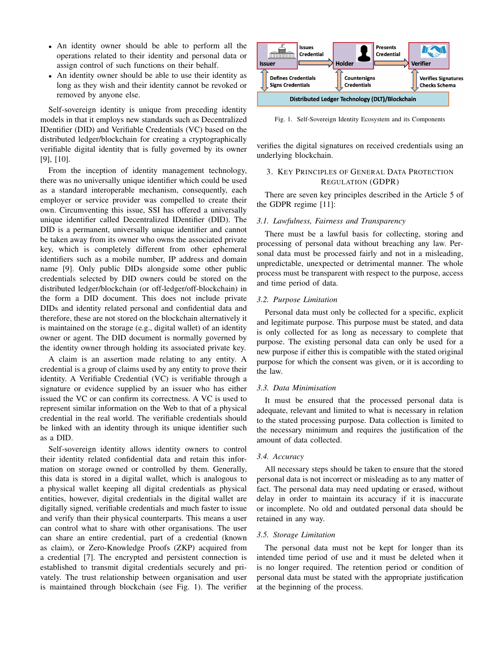- An identity owner should be able to perform all the operations related to their identity and personal data or assign control of such functions on their behalf.
- An identity owner should be able to use their identity as long as they wish and their identity cannot be revoked or removed by anyone else.

Self-sovereign identity is unique from preceding identity models in that it employs new standards such as Decentralized IDentifier (DID) and Verifiable Credentials (VC) based on the distributed ledger/blockchain for creating a cryptographically verifiable digital identity that is fully governed by its owner [9], [10].

From the inception of identity management technology, there was no universally unique identifier which could be used as a standard interoperable mechanism, consequently, each employer or service provider was compelled to create their own. Circumventing this issue, SSI has offered a universally unique identifier called Decentralized IDentifier (DID). The DID is a permanent, universally unique identifier and cannot be taken away from its owner who owns the associated private key, which is completely different from other ephemeral identifiers such as a mobile number, IP address and domain name [9]. Only public DIDs alongside some other public credentials selected by DID owners could be stored on the distributed ledger/blockchain (or off-ledger/off-blockchain) in the form a DID document. This does not include private DIDs and identity related personal and confidential data and therefore, these are not stored on the blockchain alternatively it is maintained on the storage (e.g., digital wallet) of an identity owner or agent. The DID document is normally governed by the identity owner through holding its associated private key.

A claim is an assertion made relating to any entity. A credential is a group of claims used by any entity to prove their identity. A Verifiable Credential (VC) is verifiable through a signature or evidence supplied by an issuer who has either issued the VC or can confirm its correctness. A VC is used to represent similar information on the Web to that of a physical credential in the real world. The verifiable credentials should be linked with an identity through its unique identifier such as a DID.

Self-sovereign identity allows identity owners to control their identity related confidential data and retain this information on storage owned or controlled by them. Generally, this data is stored in a digital wallet, which is analogous to a physical wallet keeping all digital credentials as physical entities, however, digital credentials in the digital wallet are digitally signed, verifiable credentials and much faster to issue and verify than their physical counterparts. This means a user can control what to share with other organisations. The user can share an entire credential, part of a credential (known as claim), or Zero-Knowledge Proofs (ZKP) acquired from a credential [7]. The encrypted and persistent connection is established to transmit digital credentials securely and privately. The trust relationship between organisation and user is maintained through blockchain (see Fig. 1). The verifier



Fig. 1. Self-Sovereign Identity Ecosystem and its Components

verifies the digital signatures on received credentials using an underlying blockchain.

# 3. KEY PRINCIPLES OF GENERAL DATA PROTECTION REGULATION (GDPR)

There are seven key principles described in the Article 5 of the GDPR regime [11]:

## *3.1. Lawfulness, Fairness and Transparency*

There must be a lawful basis for collecting, storing and processing of personal data without breaching any law. Personal data must be processed fairly and not in a misleading, unpredictable, unexpected or detrimental manner. The whole process must be transparent with respect to the purpose, access and time period of data.

#### *3.2. Purpose Limitation*

Personal data must only be collected for a specific, explicit and legitimate purpose. This purpose must be stated, and data is only collected for as long as necessary to complete that purpose. The existing personal data can only be used for a new purpose if either this is compatible with the stated original purpose for which the consent was given, or it is according to the law.

### *3.3. Data Minimisation*

It must be ensured that the processed personal data is adequate, relevant and limited to what is necessary in relation to the stated processing purpose. Data collection is limited to the necessary minimum and requires the justification of the amount of data collected.

# *3.4. Accuracy*

All necessary steps should be taken to ensure that the stored personal data is not incorrect or misleading as to any matter of fact. The personal data may need updating or erased, without delay in order to maintain its accuracy if it is inaccurate or incomplete. No old and outdated personal data should be retained in any way.

## *3.5. Storage Limitation*

The personal data must not be kept for longer than its intended time period of use and it must be deleted when it is no longer required. The retention period or condition of personal data must be stated with the appropriate justification at the beginning of the process.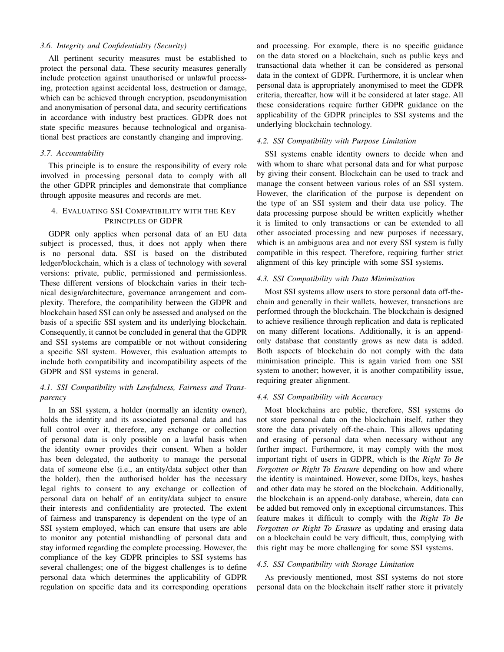# *3.6. Integrity and Confidentiality (Security)*

All pertinent security measures must be established to protect the personal data. These security measures generally include protection against unauthorised or unlawful processing, protection against accidental loss, destruction or damage, which can be achieved through encryption, pseudonymisation and anonymisation of personal data, and security certifications in accordance with industry best practices. GDPR does not state specific measures because technological and organisational best practices are constantly changing and improving.

## *3.7. Accountability*

This principle is to ensure the responsibility of every role involved in processing personal data to comply with all the other GDPR principles and demonstrate that compliance through apposite measures and records are met.

# 4. EVALUATING SSI COMPATIBILITY WITH THE KEY PRINCIPLES OF GDPR

GDPR only applies when personal data of an EU data subject is processed, thus, it does not apply when there is no personal data. SSI is based on the distributed ledger/blockchain, which is a class of technology with several versions: private, public, permissioned and permissionless. These different versions of blockchain varies in their technical design/architecture, governance arrangement and complexity. Therefore, the compatibility between the GDPR and blockchain based SSI can only be assessed and analysed on the basis of a specific SSI system and its underlying blockchain. Consequently, it cannot be concluded in general that the GDPR and SSI systems are compatible or not without considering a specific SSI system. However, this evaluation attempts to include both compatibility and incompatibility aspects of the GDPR and SSI systems in general.

# *4.1. SSI Compatibility with Lawfulness, Fairness and Transparency*

In an SSI system, a holder (normally an identity owner), holds the identity and its associated personal data and has full control over it, therefore, any exchange or collection of personal data is only possible on a lawful basis when the identity owner provides their consent. When a holder has been delegated, the authority to manage the personal data of someone else (i.e., an entity/data subject other than the holder), then the authorised holder has the necessary legal rights to consent to any exchange or collection of personal data on behalf of an entity/data subject to ensure their interests and confidentiality are protected. The extent of fairness and transparency is dependent on the type of an SSI system employed, which can ensure that users are able to monitor any potential mishandling of personal data and stay informed regarding the complete processing. However, the compliance of the key GDPR principles to SSI systems has several challenges; one of the biggest challenges is to define personal data which determines the applicability of GDPR regulation on specific data and its corresponding operations

and processing. For example, there is no specific guidance on the data stored on a blockchain, such as public keys and transactional data whether it can be considered as personal data in the context of GDPR. Furthermore, it is unclear when personal data is appropriately anonymised to meet the GDPR criteria, thereafter, how will it be considered at later stage. All these considerations require further GDPR guidance on the applicability of the GDPR principles to SSI systems and the underlying blockchain technology.

# *4.2. SSI Compatibility with Purpose Limitation*

SSI systems enable identity owners to decide when and with whom to share what personal data and for what purpose by giving their consent. Blockchain can be used to track and manage the consent between various roles of an SSI system. However, the clarification of the purpose is dependent on the type of an SSI system and their data use policy. The data processing purpose should be written explicitly whether it is limited to only transactions or can be extended to all other associated processing and new purposes if necessary, which is an ambiguous area and not every SSI system is fully compatible in this respect. Therefore, requiring further strict alignment of this key principle with some SSI systems.

#### *4.3. SSI Compatibility with Data Minimisation*

Most SSI systems allow users to store personal data off-thechain and generally in their wallets, however, transactions are performed through the blockchain. The blockchain is designed to achieve resilience through replication and data is replicated on many different locations. Additionally, it is an appendonly database that constantly grows as new data is added. Both aspects of blockchain do not comply with the data minimisation principle. This is again varied from one SSI system to another; however, it is another compatibility issue, requiring greater alignment.

#### *4.4. SSI Compatibility with Accuracy*

Most blockchains are public, therefore, SSI systems do not store personal data on the blockchain itself, rather they store the data privately off-the-chain. This allows updating and erasing of personal data when necessary without any further impact. Furthermore, it may comply with the most important right of users in GDPR, which is the *Right To Be Forgotten or Right To Erasure* depending on how and where the identity is maintained. However, some DIDs, keys, hashes and other data may be stored on the blockchain. Additionally, the blockchain is an append-only database, wherein, data can be added but removed only in exceptional circumstances. This feature makes it difficult to comply with the *Right To Be Forgotten or Right To Erasure* as updating and erasing data on a blockchain could be very difficult, thus, complying with this right may be more challenging for some SSI systems.

#### *4.5. SSI Compatibility with Storage Limitation*

As previously mentioned, most SSI systems do not store personal data on the blockchain itself rather store it privately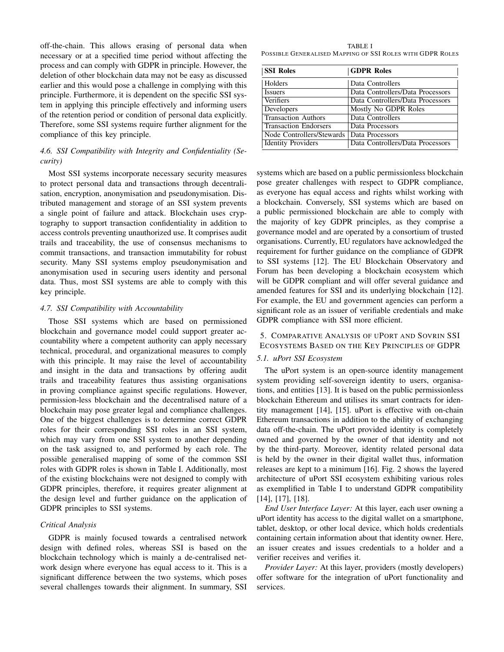off-the-chain. This allows erasing of personal data when necessary or at a specified time period without affecting the process and can comply with GDPR in principle. However, the deletion of other blockchain data may not be easy as discussed earlier and this would pose a challenge in complying with this principle. Furthermore, it is dependent on the specific SSI system in applying this principle effectively and informing users of the retention period or condition of personal data explicitly. Therefore, some SSI systems require further alignment for the compliance of this key principle.

# *4.6. SSI Compatibility with Integrity and Confidentiality (Security)*

Most SSI systems incorporate necessary security measures to protect personal data and transactions through decentralisation, encryption, anonymisation and pseudonymisation. Distributed management and storage of an SSI system prevents a single point of failure and attack. Blockchain uses cryptography to support transaction confidentiality in addition to access controls preventing unauthorized use. It comprises audit trails and traceability, the use of consensus mechanisms to commit transactions, and transaction immutability for robust security. Many SSI systems employ pseudonymisation and anonymisation used in securing users identity and personal data. Thus, most SSI systems are able to comply with this key principle.

### *4.7. SSI Compatibility with Accountability*

Those SSI systems which are based on permissioned blockchain and governance model could support greater accountability where a competent authority can apply necessary technical, procedural, and organizational measures to comply with this principle. It may raise the level of accountability and insight in the data and transactions by offering audit trails and traceability features thus assisting organisations in proving compliance against specific regulations. However, permission-less blockchain and the decentralised nature of a blockchain may pose greater legal and compliance challenges. One of the biggest challenges is to determine correct GDPR roles for their corresponding SSI roles in an SSI system, which may vary from one SSI system to another depending on the task assigned to, and performed by each role. The possible generalised mapping of some of the common SSI roles with GDPR roles is shown in Table I. Additionally, most of the existing blockchains were not designed to comply with GDPR principles, therefore, it requires greater alignment at the design level and further guidance on the application of GDPR principles to SSI systems.

# *Critical Analysis*

GDPR is mainly focused towards a centralised network design with defined roles, whereas SSI is based on the blockchain technology which is mainly a de-centralised network design where everyone has equal access to it. This is a significant difference between the two systems, which poses several challenges towards their alignment. In summary, SSI

TABLE I POSSIBLE GENERALISED MAPPING OF SSI ROLES WITH GDPR ROLES

| <b>SSI Roles</b>             | <b>GDPR Roles</b>                |
|------------------------------|----------------------------------|
| Holders                      | Data Controllers                 |
| <i>Issuers</i>               | Data Controllers/Data Processors |
| Verifiers                    | Data Controllers/Data Processors |
| Developers                   | Mostly No GDPR Roles             |
| <b>Transaction Authors</b>   | Data Controllers                 |
| <b>Transaction Endorsers</b> | Data Processors                  |
| Node Controllers/Stewards    | Data Processors                  |
| <b>Identity Providers</b>    | Data Controllers/Data Processors |

systems which are based on a public permissionless blockchain pose greater challenges with respect to GDPR compliance, as everyone has equal access and rights whilst working with a blockchain. Conversely, SSI systems which are based on a public permissioned blockchain are able to comply with the majority of key GDPR principles, as they comprise a governance model and are operated by a consortium of trusted organisations. Currently, EU regulators have acknowledged the requirement for further guidance on the compliance of GDPR to SSI systems [12]. The EU Blockchain Observatory and Forum has been developing a blockchain ecosystem which will be GDPR compliant and will offer several guidance and amended features for SSI and its underlying blockchain [12]. For example, the EU and government agencies can perform a significant role as an issuer of verifiable credentials and make GDPR compliance with SSI more efficient.

# 5. COMPARATIVE ANALYSIS OF UPORT AND SOVRIN SSI ECOSYSTEMS BASED ON THE KEY PRINCIPLES OF GDPR

# *5.1. uPort SSI Ecosystem*

The uPort system is an open-source identity management system providing self-sovereign identity to users, organisations, and entities [13]. It is based on the public permissionless blockchain Ethereum and utilises its smart contracts for identity management [14], [15]. uPort is effective with on-chain Ethereum transactions in addition to the ability of exchanging data off-the-chain. The uPort provided identity is completely owned and governed by the owner of that identity and not by the third-party. Moreover, identity related personal data is held by the owner in their digital wallet thus, information releases are kept to a minimum [16]. Fig. 2 shows the layered architecture of uPort SSI ecosystem exhibiting various roles as exemplified in Table I to understand GDPR compatibility [14], [17], [18].

*End User Interface Layer:* At this layer, each user owning a uPort identity has access to the digital wallet on a smartphone, tablet, desktop, or other local device, which holds credentials containing certain information about that identity owner. Here, an issuer creates and issues credentials to a holder and a verifier receives and verifies it.

*Provider Layer:* At this layer, providers (mostly developers) offer software for the integration of uPort functionality and services.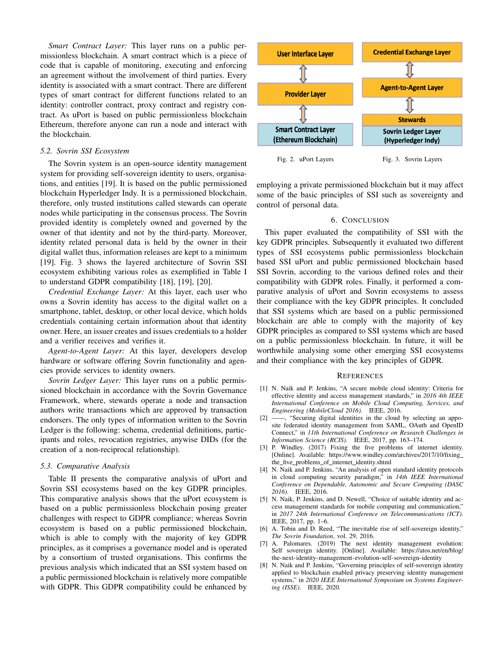*Smart Contract Layer:* This layer runs on a public permissionless blockchain. A smart contract which is a piece of code that is capable of monitoring, executing and enforcing an agreement without the involvement of third parties. Every identity is associated with a smart contract. There are different types of smart contract for different functions related to an identity: controller contract, proxy contract and registry contract. As uPort is based on public permissionless blockchain Ethereum, therefore anyone can run a node and interact with the blockchain.

## *5.2. Sovrin SSI Ecosystem*

The Sovrin system is an open-source identity management system for providing self-sovereign identity to users, organisations, and entities [19]. It is based on the public permissioned blockchain Hyperledger Indy. It is a permissioned blockchain, therefore, only trusted institutions called stewards can operate nodes while participating in the consensus process. The Sovrin provided identity is completely owned and governed by the owner of that identity and not by the third-party. Moreover, identity related personal data is held by the owner in their digital wallet thus, information releases are kept to a minimum [19]. Fig. 3 shows the layered architecture of Sovrin SSI ecosystem exhibiting various roles as exemplified in Table I to understand GDPR compatibility [18], [19], [20].

*Credential Exchange Layer:* At this layer, each user who owns a Sovrin identity has access to the digital wallet on a smartphone, tablet, desktop, or other local device, which holds credentials containing certain information about that identity owner. Here, an issuer creates and issues credentials to a holder and a verifier receives and verifies it.

*Agent-to-Agent Layer:* At this layer, developers develop hardware or software offering Sovrin functionality and agencies provide services to identity owners.

*Sovrin Ledger Layer:* This layer runs on a public permissioned blockchain in accordance with the Sovrin Governance Framework, where, stewards operate a node and transaction authors write transactions which are approved by transaction endorsers. The only types of information written to the Sovrin Ledger is the following: schema, credential definitions, participants and roles, revocation registries, anywise DIDs (for the creation of a non-reciprocal relationship).

#### *5.3. Comparative Analysis*

Table II presents the comparative analysis of uPort and Sovrin SSI ecosystems based on the key GDPR principles. This comparative analysis shows that the uPort ecosystem is based on a public permissionless blockchain posing greater challenges with respect to GDPR compliance; whereas Sovrin ecosystem is based on a public permissioned blockchain, which is able to comply with the majority of key GDPR principles, as it comprises a governance model and is operated by a consortium of trusted organisations. This confirms the previous analysis which indicated that an SSI system based on a public permissioned blockchain is relatively more compatible with GDPR. This GDPR compatibility could be enhanced by



employing a private permissioned blockchain but it may affect some of the basic principles of SSI such as sovereignty and control of personal data.

# 6. CONCLUSION

This paper evaluated the compatibility of SSI with the key GDPR principles. Subsequently it evaluated two different types of SSI ecosystems public permissionless blockchain based SSI uPort and public permissioned blockchain based SSI Sovrin, according to the various defined roles and their compatibility with GDPR roles. Finally, it performed a comparative analysis of uPort and Sovrin ecosystems to assess their compliance with the key GDPR principles. It concluded that SSI systems which are based on a public permissioned blockchain are able to comply with the majority of key GDPR principles as compared to SSI systems which are based on a public permissionless blockchain. In future, it will be worthwhile analysing some other emerging SSI ecosystems and their compliance with the key principles of GDPR.

#### **REFERENCES**

- [1] N. Naik and P. Jenkins, "A secure mobile cloud identity: Criteria for effective identity and access management standards," in *2016 4th IEEE International Conference on Mobile Cloud Computing, Services, and Engineering (MobileCloud 2016)*. IEEE, 2016.
- [2] ——, "Securing digital identities in the cloud by selecting an apposite federated identity management from SAML, OAuth and OpenID Connect," in *11th International Conference on Research Challenges in Information Science (RCIS)*. IEEE, 2017, pp. 163–174.
- [3] P. Windley. (2017) Fixing the five problems of internet identity. [Online]. Available: https://www.windley.com/archives/2017/10/fixing the\_five\_problems\_of\_internet\_identity.shtml
- [4] N. Naik and P. Jenkins, "An analysis of open standard identity protocols in cloud computing security paradigm," in *14th IEEE International Conference on Dependable, Autonomic and Secure Computing (DASC 2016)*. IEEE, 2016.
- [5] N. Naik, P. Jenkins, and D. Newell, "Choice of suitable identity and access management standards for mobile computing and communication," in *2017 24th International Conference on Telecommunications (ICT)*. IEEE, 2017, pp. 1–6.
- [6] A. Tobin and D. Reed, "The inevitable rise of self-sovereign identity," *The Sovrin Foundation*, vol. 29, 2016.
- [7] A. Palomares. (2019) The next identity management evolution: Self sovereign identity. [Online]. Available: https://atos.net/en/blog/ the-next-identity-management-evolution-self-sovereign-identity
- [8] N. Naik and P. Jenkins, "Governing principles of self-sovereign identity applied to blockchain enabled privacy preserving identity management systems," in *2020 IEEE International Symposium on Systems Engineering (ISSE)*. IEEE, 2020.